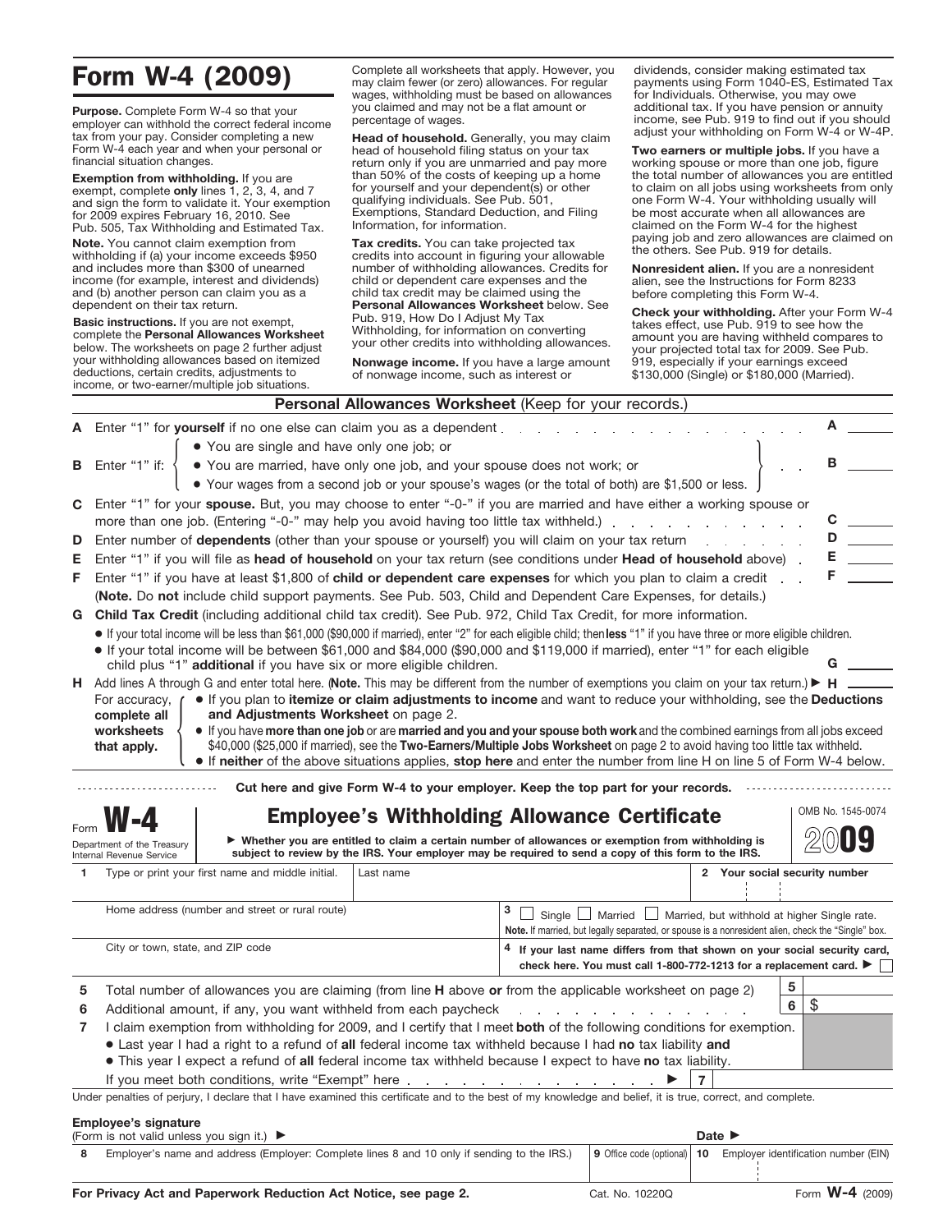## Form W-4 (2009)

**Purpose.** Complete Form W-4 so that your employer can withhold the correct federal income tax from your pay. Consider completing a new Form W-4 each year and when your personal or financial situation changes.

**Exemption from withholding.** If you are exempt, complete **only** lines 1, 2, 3, 4, and 7 and sign the form to validate it. Your exemption for 2009 expires February 16, 2010. See Pub. 505, Tax Withholding and Estimated Tax.

**Note.** You cannot claim exemption from withholding if (a) your income exceeds \$950 and includes more than \$300 of unearned income (for example, interest and dividends) and (b) another person can claim you as a dependent on their tax return.

**Basic instructions.** If you are not exempt, complete the **Personal Allowances Worksheet** below. The worksheets on page 2 further adjust your withholding allowances based on itemized deductions, certain credits, adjustments to income, or two-earner/multiple job situations.

Complete all worksheets that apply. However, you may claim fewer (or zero) allowances. For regular wages, withholding must be based on allowances you claimed and may not be a flat amount or percentage of wages.

**Head of household.** Generally, you may claim head of household filing status on your tax return only if you are unmarried and pay more than 50% of the costs of keeping up a home for yourself and your dependent(s) or other qualifying individuals. See Pub. 501, Exemptions, Standard Deduction, and Filing Information, for information.

**Tax credits.** You can take projected tax credits into account in figuring your allowable number of withholding allowances. Credits for child or dependent care expenses and the child tax credit may be claimed using the **Personal Allowances Worksheet** below. See Pub. 919, How Do I Adjust My Tax Withholding, for information on converting your other credits into withholding allowances.

**Nonwage income.** If you have a large amount of nonwage income, such as interest or

dividends, consider making estimated tax payments using Form 1040-ES, Estimated Tax for Individuals. Otherwise, you may owe additional tax. If you have pension or annuity income, see Pub. 919 to find out if you should adjust your withholding on Form W-4 or W-4P.

**Two earners or multiple jobs.** If you have a working spouse or more than one job, figure the total number of allowances you are entitled to claim on all jobs using worksheets from only one Form W-4. Your withholding usually will be most accurate when all allowances are claimed on the Form W-4 for the highest paying job and zero allowances are claimed on the others. See Pub. 919 for details.

**Nonresident alien.** If you are a nonresident alien, see the Instructions for Form 8233 before completing this Form W-4.

**Check your withholding.** After your Form W-4 takes effect, use Pub. 919 to see how the amount you are having withheld compares to your projected total tax for 2009. See Pub. 919, especially if your earnings exceed \$130,000 (Single) or \$180,000 (Married).

|                                                                                                                                                                                                                            |                                                                                                                                                                      |           | Personal Allowances Worksheet (Keep for your records.)                                                                                                     |                               |                   |  |
|----------------------------------------------------------------------------------------------------------------------------------------------------------------------------------------------------------------------------|----------------------------------------------------------------------------------------------------------------------------------------------------------------------|-----------|------------------------------------------------------------------------------------------------------------------------------------------------------------|-------------------------------|-------------------|--|
|                                                                                                                                                                                                                            | Enter "1" for yourself if no one else can claim you as a dependent.                                                                                                  |           |                                                                                                                                                            |                               |                   |  |
|                                                                                                                                                                                                                            | • You are single and have only one job; or                                                                                                                           |           |                                                                                                                                                            |                               |                   |  |
| в                                                                                                                                                                                                                          | . You are married, have only one job, and your spouse does not work; or<br>Enter "1" if:                                                                             |           |                                                                                                                                                            |                               | в                 |  |
|                                                                                                                                                                                                                            |                                                                                                                                                                      |           | • Your wages from a second job or your spouse's wages (or the total of both) are \$1,500 or less.                                                          |                               |                   |  |
|                                                                                                                                                                                                                            | C Enter "1" for your spouse. But, you may choose to enter "-0-" if you are married and have either a working spouse or                                               |           |                                                                                                                                                            |                               |                   |  |
|                                                                                                                                                                                                                            | more than one job. (Entering "-0-" may help you avoid having too little tax withheld.)                                                                               |           |                                                                                                                                                            |                               |                   |  |
| D                                                                                                                                                                                                                          | Enter number of dependents (other than your spouse or yourself) you will claim on your tax return                                                                    |           |                                                                                                                                                            |                               |                   |  |
| Е                                                                                                                                                                                                                          | Enter "1" if you will file as head of household on your tax return (see conditions under Head of household above).                                                   |           |                                                                                                                                                            |                               |                   |  |
| F                                                                                                                                                                                                                          | Enter "1" if you have at least \$1,800 of child or dependent care expenses for which you plan to claim a credit                                                      |           |                                                                                                                                                            |                               |                   |  |
|                                                                                                                                                                                                                            | (Note. Do not include child support payments. See Pub. 503, Child and Dependent Care Expenses, for details.)                                                         |           |                                                                                                                                                            |                               |                   |  |
|                                                                                                                                                                                                                            | G Child Tax Credit (including additional child tax credit). See Pub. 972, Child Tax Credit, for more information.                                                    |           |                                                                                                                                                            |                               |                   |  |
|                                                                                                                                                                                                                            | If your total income will be less than \$61,000 (\$90,000 if married), enter "2" for each eligible child; then less "1" if you have three or more eligible children. |           |                                                                                                                                                            |                               |                   |  |
|                                                                                                                                                                                                                            | If your total income will be between \$61,000 and \$84,000 (\$90,000 and \$119,000 if married), enter "1" for each eligible                                          |           |                                                                                                                                                            |                               |                   |  |
|                                                                                                                                                                                                                            | child plus "1" additional if you have six or more eligible children.                                                                                                 |           |                                                                                                                                                            |                               |                   |  |
|                                                                                                                                                                                                                            | H Add lines A through G and enter total here. (Note. This may be different from the number of exemptions you claim on your tax return.) ► H                          |           |                                                                                                                                                            |                               |                   |  |
|                                                                                                                                                                                                                            | For accuracy,<br>and Adjustments Worksheet on page 2.<br>complete all                                                                                                |           | If you plan to itemize or claim adjustments to income and want to reduce your withholding, see the Deductions                                              |                               |                   |  |
|                                                                                                                                                                                                                            | worksheets                                                                                                                                                           |           | If you have more than one job or are married and you and your spouse both work and the combined earnings from all jobs exceed                              |                               |                   |  |
|                                                                                                                                                                                                                            | that apply.                                                                                                                                                          |           | \$40,000 (\$25,000 if married), see the Two-Earners/Multiple Jobs Worksheet on page 2 to avoid having too little tax withheld.                             |                               |                   |  |
|                                                                                                                                                                                                                            |                                                                                                                                                                      |           | • If neither of the above situations applies, stop here and enter the number from line H on line 5 of Form W-4 below.                                      |                               |                   |  |
|                                                                                                                                                                                                                            |                                                                                                                                                                      |           | Cut here and give Form W-4 to your employer. Keep the top part for your records.                                                                           |                               |                   |  |
|                                                                                                                                                                                                                            |                                                                                                                                                                      |           |                                                                                                                                                            |                               | OMB No. 1545-0074 |  |
|                                                                                                                                                                                                                            |                                                                                                                                                                      |           | <b>Employee's Withholding Allowance Certificate</b>                                                                                                        |                               |                   |  |
|                                                                                                                                                                                                                            | Department of the Treasury                                                                                                                                           |           | ▶ Whether you are entitled to claim a certain number of allowances or exemption from withholding is                                                        |                               |                   |  |
| $\mathbf{1}$                                                                                                                                                                                                               | Internal Revenue Service                                                                                                                                             |           | subject to review by the IRS. Your employer may be required to send a copy of this form to the IRS.                                                        |                               |                   |  |
|                                                                                                                                                                                                                            | Type or print your first name and middle initial.                                                                                                                    | Last name |                                                                                                                                                            | 2 Your social security number |                   |  |
|                                                                                                                                                                                                                            | Home address (number and street or rural route)                                                                                                                      |           | з                                                                                                                                                          |                               |                   |  |
|                                                                                                                                                                                                                            |                                                                                                                                                                      |           | $\Box$ Married $\Box$<br>Married, but withhold at higher Single rate.<br>Single                                                                            |                               |                   |  |
|                                                                                                                                                                                                                            | City or town, state, and ZIP code                                                                                                                                    |           | Note. If married, but legally separated, or spouse is a nonresident alien, check the "Single" box.                                                         |                               |                   |  |
|                                                                                                                                                                                                                            |                                                                                                                                                                      |           | <sup>4</sup> If your last name differs from that shown on your social security card,<br>check here. You must call 1-800-772-1213 for a replacement card. ▶ |                               |                   |  |
|                                                                                                                                                                                                                            |                                                                                                                                                                      |           |                                                                                                                                                            |                               |                   |  |
| 5                                                                                                                                                                                                                          | 5<br>Total number of allowances you are claiming (from line H above or from the applicable worksheet on page 2)<br>\$<br>6                                           |           |                                                                                                                                                            |                               |                   |  |
| 6                                                                                                                                                                                                                          | Additional amount, if any, you want withheld from each paycheck                                                                                                      |           |                                                                                                                                                            |                               |                   |  |
| 7                                                                                                                                                                                                                          | I claim exemption from withholding for 2009, and I certify that I meet both of the following conditions for exemption.                                               |           |                                                                                                                                                            |                               |                   |  |
| • Last year I had a right to a refund of all federal income tax withheld because I had no tax liability and<br>. This year I expect a refund of all federal income tax withheld because I expect to have no tax liability. |                                                                                                                                                                      |           |                                                                                                                                                            |                               |                   |  |
|                                                                                                                                                                                                                            | If you meet both conditions, write "Exempt" here.                                                                                                                    |           |                                                                                                                                                            |                               |                   |  |
|                                                                                                                                                                                                                            | Under penalties of perjury, I declare that I have examined this certificate and to the best of my knowledge and belief, it is true, correct, and complete.           |           |                                                                                                                                                            |                               |                   |  |
|                                                                                                                                                                                                                            |                                                                                                                                                                      |           |                                                                                                                                                            |                               |                   |  |
|                                                                                                                                                                                                                            | <b>Employee's signature</b><br>(Form in not valid unless you aim it)                                                                                                 |           |                                                                                                                                                            | Data I                        |                   |  |

| $\mu$ of the struct valid driless you sight it.)                                            |                    | walt P |                                                                            |
|---------------------------------------------------------------------------------------------|--------------------|--------|----------------------------------------------------------------------------|
| Employer's name and address (Employer: Complete lines 8 and 10 only if sending to the IRS.) |                    |        | $\vert$ 9 Office code (optional)   10 Employer identification number (EIN) |
|                                                                                             | __________________ |        | $\mathbf{M}$ $\mathbf{M}$ $\mathbf{M}$ $\mathbf{M}$ $\mathbf{M}$           |